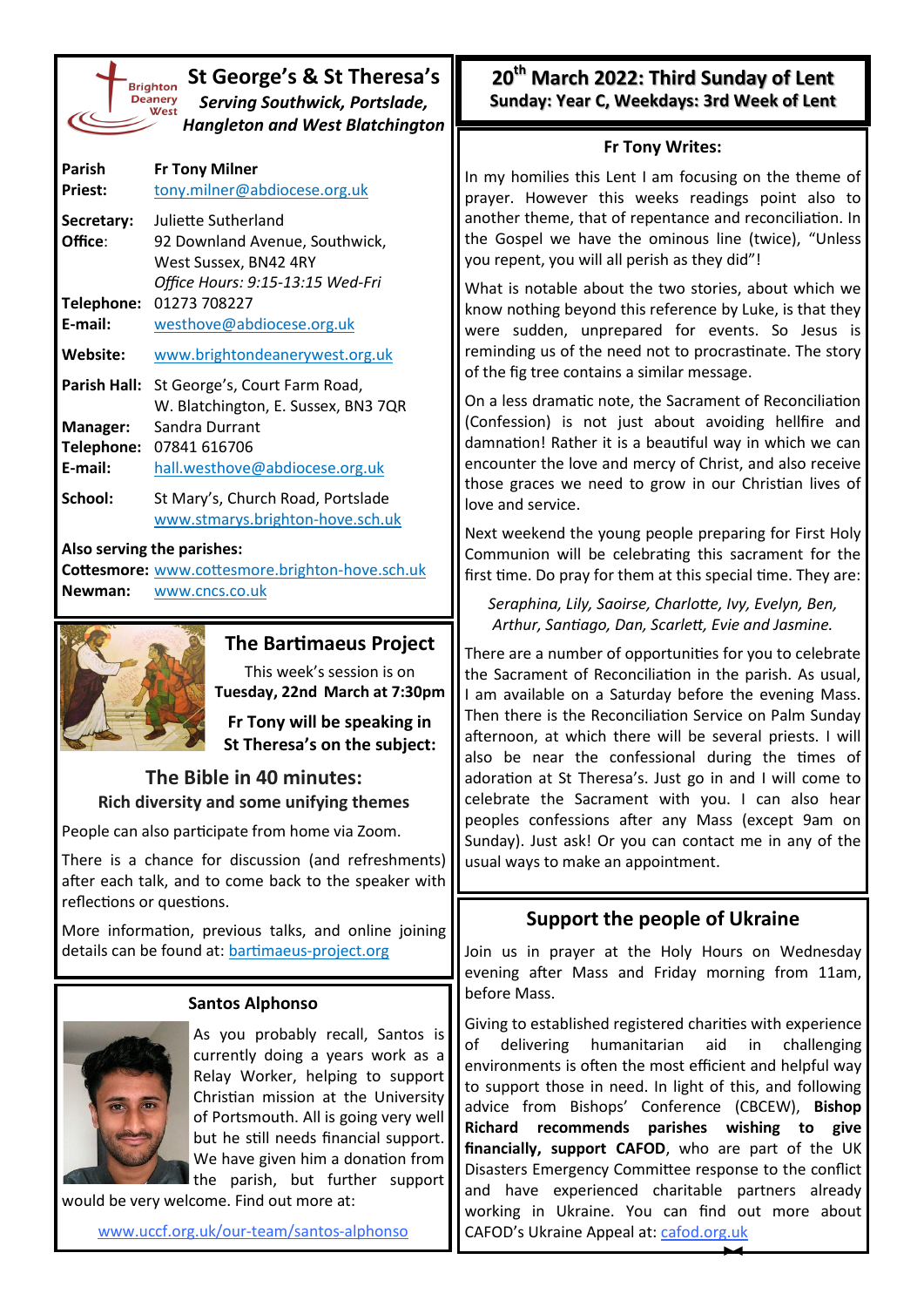| <b>Brighto</b> |
|----------------|
| <b>Deaner</b>  |
| We             |
|                |
|                |

**St George's & St Theresa's** *Serving Southwick, Portslade, Hangleton and West Blatchington*

| Parish<br><b>Priest:</b>          | <b>Fr Tony Milner</b><br>tony.milner@abdiocese.org.uk                                                              |
|-----------------------------------|--------------------------------------------------------------------------------------------------------------------|
| Secretary:<br>Office:             | Juliette Sutherland<br>92 Downland Avenue, Southwick,<br>West Sussex, BN42 4RY<br>Office Hours: 9:15-13:15 Wed-Fri |
| Telephone:<br>E-mail:             | 01273 708227<br>westhove@abdiocese.org.uk                                                                          |
| Website:                          | www.brightondeanerywest.org.uk                                                                                     |
| <b>Parish Hall:</b>               | St George's, Court Farm Road,<br>W. Blatchington, E. Sussex, BN3 7QR                                               |
| Manager:<br>Telephone:<br>E-mail: | Sandra Durrant<br>07841 616706<br>hall.westhove@abdiocese.org.uk                                                   |
| School:                           | St Mary's, Church Road, Portslade<br>www.stmarys.brighton-hove.sch.uk                                              |

### **Also serving the parishes:**

**Cottesmore:** [www.cottesmore.brighton](http://www.cottesmore.brighton-hove.sch.uk)-hove.sch.uk **Newman:** [www.cncs.co.uk](https://www.cncs.co.uk/)



### **The Bartimaeus Project**

This week's session is on **Tuesday, 22nd March at 7:30pm** 

**Fr Tony will be speaking in St Theresa's on the subject:**

## **The Bible in 40 minutes: Rich diversity and some unifying themes**

People can also participate from home via Zoom.

There is a chance for discussion (and refreshments) after each talk, and to come back to the speaker with reflections or questions.

More information, previous talks, and online joining details can be found at: [bartimaeus](https://bartimaeus-project.org/)-project.org

#### **Santos Alphonso**



As you probably recall, Santos is currently doing a years work as a Relay Worker, helping to support Christian mission at the University of Portsmouth. All is going very well but he still needs financial support. We have given him a donation from the parish, but further support

would be very welcome. Find out more at:

[www.uccf.org.uk/our](http://www.uccf.org.uk/our-team/santos-alphonso)-team/santos-alphonso

**20th March 2022: Third Sunday of Lent Sunday: Year C, Weekdays: 3rd Week of Lent**

#### **Fr Tony Writes:**

In my homilies this Lent I am focusing on the theme of prayer. However this weeks readings point also to another theme, that of repentance and reconciliation. In the Gospel we have the ominous line (twice), "Unless you repent, you will all perish as they did"!

What is notable about the two stories, about which we know nothing beyond this reference by Luke, is that they were sudden, unprepared for events. So Jesus is reminding us of the need not to procrastinate. The story of the fig tree contains a similar message.

On a less dramatic note, the Sacrament of Reconciliation (Confession) is not just about avoiding hellfire and damnation! Rather it is a beautiful way in which we can encounter the love and mercy of Christ, and also receive those graces we need to grow in our Christian lives of love and service.

Next weekend the young people preparing for First Holy Communion will be celebrating this sacrament for the first time. Do pray for them at this special time. They are:

*Seraphina, Lily, Saoirse, Charlotte, Ivy, Evelyn, Ben, Arthur, Santiago, Dan, Scarlett, Evie and Jasmine.*

There are a number of opportunities for you to celebrate the Sacrament of Reconciliation in the parish. As usual, I am available on a Saturday before the evening Mass. Then there is the Reconciliation Service on Palm Sunday afternoon, at which there will be several priests. I will also be near the confessional during the times of adoration at St Theresa's. Just go in and I will come to celebrate the Sacrament with you. I can also hear peoples confessions after any Mass (except 9am on Sunday). Just ask! Or you can contact me in any of the usual ways to make an appointment.

## **Support the people of Ukraine**

Join us in prayer at the Holy Hours on Wednesday evening after Mass and Friday morning from 11am, before Mass.

Giving to established registered charities with experience of delivering humanitarian aid in challenging environments is often the most efficient and helpful way to support those in need. In light of this, and following advice from Bishops' Conference (CBCEW), **Bishop Richard recommends parishes wishing to give financially, support CAFOD**, who are part of the UK Disasters Emergency Committee response to the conflict and have experienced charitable partners already working in Ukraine. You can find out more about CAFOD's Ukraine Appeal at: [cafod.org.uk](https://cafod.org.uk/Give/Donate-to-Emergencies/Ukraine-Humanitarian-Appeal)